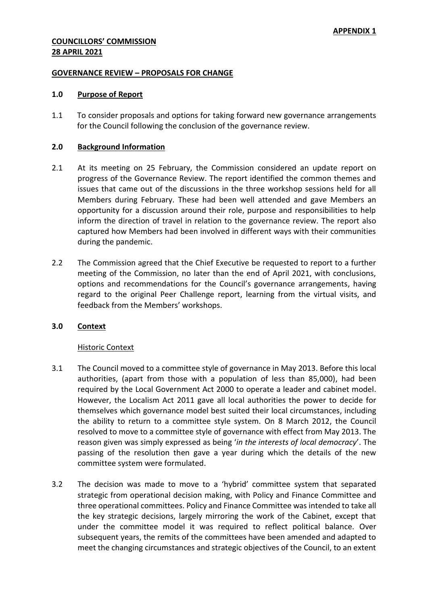### **GOVERNANCE REVIEW – PROPOSALS FOR CHANGE**

### **1.0 Purpose of Report**

1.1 To consider proposals and options for taking forward new governance arrangements for the Council following the conclusion of the governance review.

### **2.0 Background Information**

- 2.1 At its meeting on 25 February, the Commission considered an update report on progress of the Governance Review. The report identified the common themes and issues that came out of the discussions in the three workshop sessions held for all Members during February. These had been well attended and gave Members an opportunity for a discussion around their role, purpose and responsibilities to help inform the direction of travel in relation to the governance review. The report also captured how Members had been involved in different ways with their communities during the pandemic.
- 2.2 The Commission agreed that the Chief Executive be requested to report to a further meeting of the Commission, no later than the end of April 2021, with conclusions, options and recommendations for the Council's governance arrangements, having regard to the original Peer Challenge report, learning from the virtual visits, and feedback from the Members' workshops.

## **3.0 Context**

#### Historic Context

- 3.1 The Council moved to a committee style of governance in May 2013. Before this local authorities, (apart from those with a population of less than 85,000), had been required by the Local Government Act 2000 to operate a leader and cabinet model. However, the Localism Act 2011 gave all local authorities the power to decide for themselves which governance model best suited their local circumstances, including the ability to return to a committee style system. On 8 March 2012, the Council resolved to move to a committee style of governance with effect from May 2013. The reason given was simply expressed as being '*in the interests of local democracy*'. The passing of the resolution then gave a year during which the details of the new committee system were formulated.
- 3.2 The decision was made to move to a 'hybrid' committee system that separated strategic from operational decision making, with Policy and Finance Committee and three operational committees. Policy and Finance Committee was intended to take all the key strategic decisions, largely mirroring the work of the Cabinet, except that under the committee model it was required to reflect political balance. Over subsequent years, the remits of the committees have been amended and adapted to meet the changing circumstances and strategic objectives of the Council, to an extent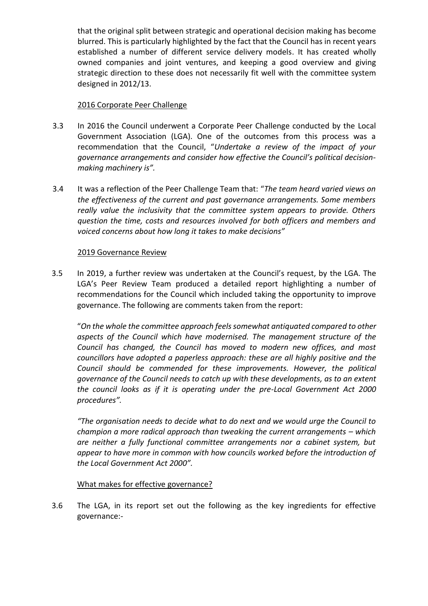that the original split between strategic and operational decision making has become blurred. This is particularly highlighted by the fact that the Council has in recent years established a number of different service delivery models. It has created wholly owned companies and joint ventures, and keeping a good overview and giving strategic direction to these does not necessarily fit well with the committee system designed in 2012/13.

## 2016 Corporate Peer Challenge

- 3.3 In 2016 the Council underwent a Corporate Peer Challenge conducted by the Local Government Association (LGA). One of the outcomes from this process was a recommendation that the Council, "*Undertake a review of the impact of your governance arrangements and consider how effective the Council's political decisionmaking machinery is".*
- 3.4 It was a reflection of the Peer Challenge Team that: "*The team heard varied views on the effectiveness of the current and past governance arrangements. Some members really value the inclusivity that the committee system appears to provide. Others question the time, costs and resources involved for both officers and members and voiced concerns about how long it takes to make decisions"*

## 2019 Governance Review

3.5 In 2019, a further review was undertaken at the Council's request, by the LGA. The LGA's Peer Review Team produced a detailed report highlighting a number of recommendations for the Council which included taking the opportunity to improve governance. The following are comments taken from the report:

"*On the whole the committee approach feels somewhat antiquated compared to other aspects of the Council which have modernised. The management structure of the Council has changed, the Council has moved to modern new offices, and most councillors have adopted a paperless approach: these are all highly positive and the Council should be commended for these improvements. However, the political governance of the Council needs to catch up with these developments, as to an extent the council looks as if it is operating under the pre-Local Government Act 2000 procedures".* 

*"The organisation needs to decide what to do next and we would urge the Council to champion a more radical approach than tweaking the current arrangements – which are neither a fully functional committee arrangements nor a cabinet system, but appear to have more in common with how councils worked before the introduction of the Local Government Act 2000".*

## What makes for effective governance?

3.6 The LGA, in its report set out the following as the key ingredients for effective governance:-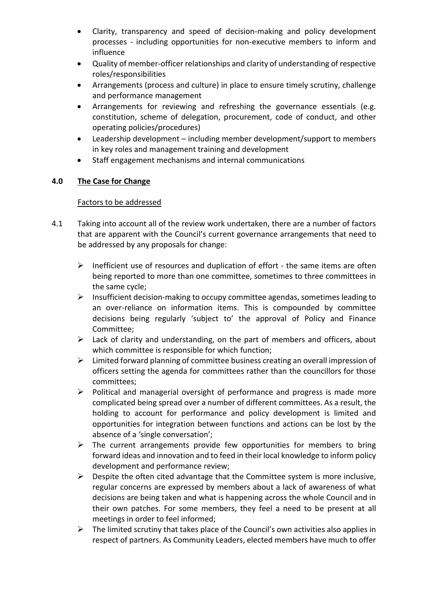- Clarity, transparency and speed of decision-making and policy development processes - including opportunities for non-executive members to inform and influence
- Quality of member-officer relationships and clarity of understanding of respective roles/responsibilities
- Arrangements (process and culture) in place to ensure timely scrutiny, challenge and performance management
- Arrangements for reviewing and refreshing the governance essentials (e.g. constitution, scheme of delegation, procurement, code of conduct, and other operating policies/procedures)
- Leadership development including member development/support to members in key roles and management training and development
- Staff engagement mechanisms and internal communications

# **4.0 The Case for Change**

# Factors to be addressed

- 4.1 Taking into account all of the review work undertaken, there are a number of factors that are apparent with the Council's current governance arrangements that need to be addressed by any proposals for change:
	- $\triangleright$  Inefficient use of resources and duplication of effort the same items are often being reported to more than one committee, sometimes to three committees in the same cycle;
	- $\triangleright$  Insufficient decision-making to occupy committee agendas, sometimes leading to an over-reliance on information items. This is compounded by committee decisions being regularly 'subject to' the approval of Policy and Finance Committee;
	- $\triangleright$  Lack of clarity and understanding, on the part of members and officers, about which committee is responsible for which function;
	- $\triangleright$  Limited forward planning of committee business creating an overall impression of officers setting the agenda for committees rather than the councillors for those committees;
	- $\triangleright$  Political and managerial oversight of performance and progress is made more complicated being spread over a number of different committees. As a result, the holding to account for performance and policy development is limited and opportunities for integration between functions and actions can be lost by the absence of a 'single conversation';
	- $\triangleright$  The current arrangements provide few opportunities for members to bring forward ideas and innovation and to feed in their local knowledge to inform policy development and performance review;
	- $\triangleright$  Despite the often cited advantage that the Committee system is more inclusive, regular concerns are expressed by members about a lack of awareness of what decisions are being taken and what is happening across the whole Council and in their own patches. For some members, they feel a need to be present at all meetings in order to feel informed;
	- $\triangleright$  The limited scrutiny that takes place of the Council's own activities also applies in respect of partners. As Community Leaders, elected members have much to offer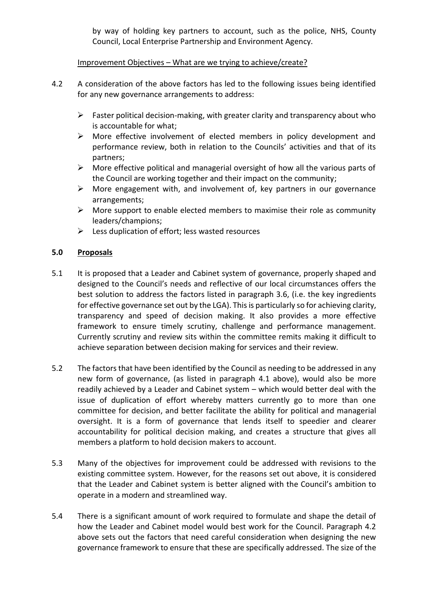by way of holding key partners to account, such as the police, NHS, County Council, Local Enterprise Partnership and Environment Agency.

# Improvement Objectives – What are we trying to achieve/create?

- 4.2 A consideration of the above factors has led to the following issues being identified for any new governance arrangements to address:
	- $\triangleright$  Faster political decision-making, with greater clarity and transparency about who is accountable for what;
	- $\triangleright$  More effective involvement of elected members in policy development and performance review, both in relation to the Councils' activities and that of its partners;
	- $\triangleright$  More effective political and managerial oversight of how all the various parts of the Council are working together and their impact on the community;
	- $\triangleright$  More engagement with, and involvement of, key partners in our governance arrangements;
	- $\triangleright$  More support to enable elected members to maximise their role as community leaders/champions;
	- $\triangleright$  Less duplication of effort; less wasted resources

# **5.0 Proposals**

- 5.1 It is proposed that a Leader and Cabinet system of governance, properly shaped and designed to the Council's needs and reflective of our local circumstances offers the best solution to address the factors listed in paragraph 3.6, (i.e. the key ingredients for effective governance set out by the LGA). This is particularly so for achieving clarity, transparency and speed of decision making. It also provides a more effective framework to ensure timely scrutiny, challenge and performance management. Currently scrutiny and review sits within the committee remits making it difficult to achieve separation between decision making for services and their review.
- 5.2 The factors that have been identified by the Council as needing to be addressed in any new form of governance, (as listed in paragraph 4.1 above), would also be more readily achieved by a Leader and Cabinet system – which would better deal with the issue of duplication of effort whereby matters currently go to more than one committee for decision, and better facilitate the ability for political and managerial oversight. It is a form of governance that lends itself to speedier and clearer accountability for political decision making, and creates a structure that gives all members a platform to hold decision makers to account.
- 5.3 Many of the objectives for improvement could be addressed with revisions to the existing committee system. However, for the reasons set out above, it is considered that the Leader and Cabinet system is better aligned with the Council's ambition to operate in a modern and streamlined way.
- 5.4 There is a significant amount of work required to formulate and shape the detail of how the Leader and Cabinet model would best work for the Council. Paragraph 4.2 above sets out the factors that need careful consideration when designing the new governance framework to ensure that these are specifically addressed. The size of the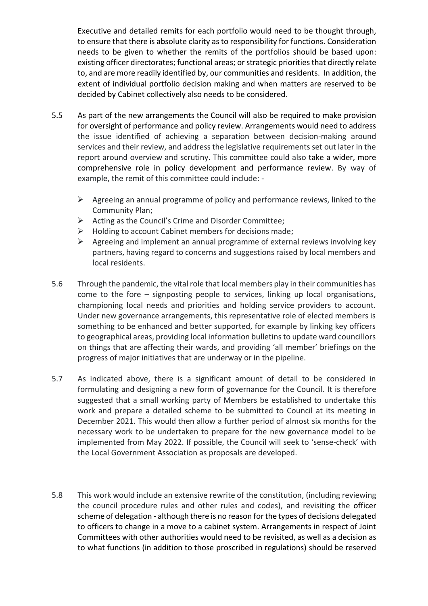Executive and detailed remits for each portfolio would need to be thought through, to ensure that there is absolute clarity as to responsibility for functions. Consideration needs to be given to whether the remits of the portfolios should be based upon: existing officer directorates; functional areas; or strategic priorities that directly relate to, and are more readily identified by, our communities and residents. In addition, the extent of individual portfolio decision making and when matters are reserved to be decided by Cabinet collectively also needs to be considered.

- 5.5 As part of the new arrangements the Council will also be required to make provision for oversight of performance and policy review. Arrangements would need to address the issue identified of achieving a separation between decision-making around services and their review, and address the legislative requirements set out later in the report around overview and scrutiny. This committee could also take a wider, more comprehensive role in policy development and performance review. By way of example, the remit of this committee could include: -
	- $\triangleright$  Agreeing an annual programme of policy and performance reviews, linked to the Community Plan;
	- $\triangleright$  Acting as the Council's Crime and Disorder Committee;
	- $\triangleright$  Holding to account Cabinet members for decisions made;
	- $\triangleright$  Agreeing and implement an annual programme of external reviews involving key partners, having regard to concerns and suggestions raised by local members and local residents.
- 5.6 Through the pandemic, the vital role that local members play in their communities has come to the fore – signposting people to services, linking up local organisations, championing local needs and priorities and holding service providers to account. Under new governance arrangements, this representative role of elected members is something to be enhanced and better supported, for example by linking key officers to geographical areas, providing local information bulletinsto update ward councillors on things that are affecting their wards, and providing 'all member' briefings on the progress of major initiatives that are underway or in the pipeline.
- 5.7 As indicated above, there is a significant amount of detail to be considered in formulating and designing a new form of governance for the Council. It is therefore suggested that a small working party of Members be established to undertake this work and prepare a detailed scheme to be submitted to Council at its meeting in December 2021. This would then allow a further period of almost six months for the necessary work to be undertaken to prepare for the new governance model to be implemented from May 2022. If possible, the Council will seek to 'sense-check' with the Local Government Association as proposals are developed.
- 5.8 This work would include an extensive rewrite of the constitution, (including reviewing the council procedure rules and other rules and codes), and revisiting the officer scheme of delegation - although there is no reason for the types of decisions delegated to officers to change in a move to a cabinet system. Arrangements in respect of Joint Committees with other authorities would need to be revisited, as well as a decision as to what functions (in addition to those proscribed in regulations) should be reserved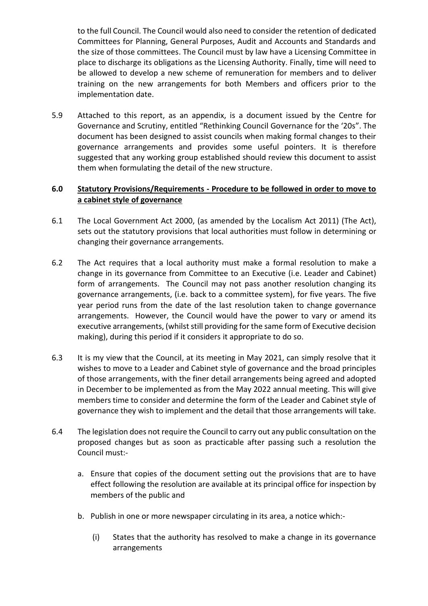to the full Council. The Council would also need to consider the retention of dedicated Committees for Planning, General Purposes, Audit and Accounts and Standards and the size of those committees. The Council must by law have a Licensing Committee in place to discharge its obligations as the Licensing Authority. Finally, time will need to be allowed to develop a new scheme of remuneration for members and to deliver training on the new arrangements for both Members and officers prior to the implementation date.

5.9 Attached to this report, as an appendix, is a document issued by the Centre for Governance and Scrutiny, entitled "Rethinking Council Governance for the '20s". The document has been designed to assist councils when making formal changes to their governance arrangements and provides some useful pointers. It is therefore suggested that any working group established should review this document to assist them when formulating the detail of the new structure.

# **6.0 Statutory Provisions/Requirements - Procedure to be followed in order to move to a cabinet style of governance**

- 6.1 The Local Government Act 2000, (as amended by the Localism Act 2011) (The Act), sets out the statutory provisions that local authorities must follow in determining or changing their governance arrangements.
- 6.2 The Act requires that a local authority must make a formal resolution to make a change in its governance from Committee to an Executive (i.e. Leader and Cabinet) form of arrangements. The Council may not pass another resolution changing its governance arrangements, (i.e. back to a committee system), for five years. The five year period runs from the date of the last resolution taken to change governance arrangements. However, the Council would have the power to vary or amend its executive arrangements, (whilst still providing for the same form of Executive decision making), during this period if it considers it appropriate to do so.
- 6.3 It is my view that the Council, at its meeting in May 2021, can simply resolve that it wishes to move to a Leader and Cabinet style of governance and the broad principles of those arrangements, with the finer detail arrangements being agreed and adopted in December to be implemented as from the May 2022 annual meeting. This will give members time to consider and determine the form of the Leader and Cabinet style of governance they wish to implement and the detail that those arrangements will take.
- 6.4 The legislation does not require the Council to carry out any public consultation on the proposed changes but as soon as practicable after passing such a resolution the Council must:
	- a. Ensure that copies of the document setting out the provisions that are to have effect following the resolution are available at its principal office for inspection by members of the public and
	- b. Publish in one or more newspaper circulating in its area, a notice which:-
		- (i) States that the authority has resolved to make a change in its governance arrangements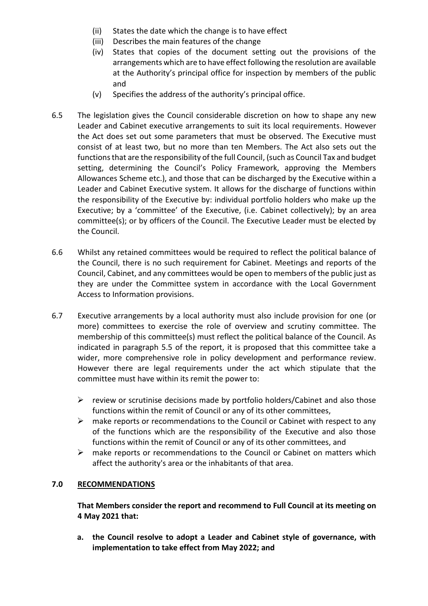- (ii) States the date which the change is to have effect
- (iii) Describes the main features of the change
- (iv) States that copies of the document setting out the provisions of the arrangements which are to have effect following the resolution are available at the Authority's principal office for inspection by members of the public and
- (v) Specifies the address of the authority's principal office.
- 6.5 The legislation gives the Council considerable discretion on how to shape any new Leader and Cabinet executive arrangements to suit its local requirements. However the Act does set out some parameters that must be observed. The Executive must consist of at least two, but no more than ten Members. The Act also sets out the functions that are the responsibility of the full Council, (such as Council Tax and budget setting, determining the Council's Policy Framework, approving the Members Allowances Scheme etc.), and those that can be discharged by the Executive within a Leader and Cabinet Executive system. It allows for the discharge of functions within the responsibility of the Executive by: individual portfolio holders who make up the Executive; by a 'committee' of the Executive, (i.e. Cabinet collectively); by an area committee(s); or by officers of the Council. The Executive Leader must be elected by the Council.
- 6.6 Whilst any retained committees would be required to reflect the political balance of the Council, there is no such requirement for Cabinet. Meetings and reports of the Council, Cabinet, and any committees would be open to members of the public just as they are under the Committee system in accordance with the Local Government Access to Information provisions.
- 6.7 Executive arrangements by a local authority must also include provision for one (or more) committees to exercise the role of overview and scrutiny committee. The membership of this committee(s) must reflect the political balance of the Council. As indicated in paragraph 5.5 of the report, it is proposed that this committee take a wider, more comprehensive role in policy development and performance review. However there are legal requirements under the act which stipulate that the committee must have within its remit the power to:
	- $\triangleright$  review or scrutinise decisions made by portfolio holders/Cabinet and also those functions within the remit of Council or any of its other committees,
	- $\triangleright$  make reports or recommendations to the Council or Cabinet with respect to any of the functions which are the responsibility of the Executive and also those functions within the remit of Council or any of its other committees, and
	- $\triangleright$  make reports or recommendations to the Council or Cabinet on matters which affect the authority's area or the inhabitants of that area.

# **7.0 RECOMMENDATIONS**

**That Members consider the report and recommend to Full Council at its meeting on 4 May 2021 that:**

**a. the Council resolve to adopt a Leader and Cabinet style of governance, with implementation to take effect from May 2022; and**